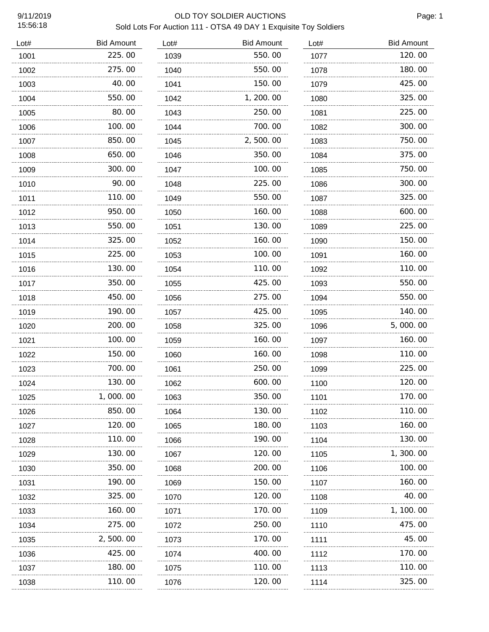### 9/11/2019 OLD TOY SOLDIER AUCTIONS Sold Lots For Auction 111 - OTSA 49 DAY 1 Exquisite Toy Soldiers

| Lot# | <b>Bid Amount</b> | Lot# | <b>Bid Amount</b> | Lot# | <b>Bid Amount</b> |
|------|-------------------|------|-------------------|------|-------------------|
| 1001 | 225.00            | 1039 | 550.00            | 1077 | 120.00            |
| 1002 | 275.00            | 1040 | 550.00            | 1078 | 180.00            |
| 1003 | 40.00             | 1041 | 150.00            | 1079 | 425.00            |
| 1004 | 550.00            | 1042 | 1, 200. 00        | 1080 | 325.00            |
| 1005 | 80.00             | 1043 | 250.00            | 1081 | 225.00            |
| 1006 | 100.00            | 1044 | 700.00            | 1082 | 300.00            |
| 1007 | 850.00            | 1045 | 2,500.00          | 1083 | 750.00            |
| 1008 | 650.00            | 1046 | 350.00            | 1084 | 375.00            |
| 1009 | 300.00            | 1047 | 100.00            | 1085 | 750.00            |
| 1010 | 90.00             | 1048 | 225.00            | 1086 | 300.00            |
| 1011 | 110.00            | 1049 | 550.00            | 1087 | 325.00            |
| 1012 | 950.00            | 1050 | 160.00            | 1088 | 600.00            |
| 1013 | 550.00            | 1051 | 130.00            | 1089 | 225.00            |
| 1014 | 325.00            | 1052 | 160.00            | 1090 | 150.00            |
| 1015 | 225.00            | 1053 | 100, 00           | 1091 | 160.00            |
| 1016 | 130.00            | 1054 | 110.00            | 1092 | 110.00            |
| 1017 | 350.00            | 1055 | 425.00            | 1093 | 550.00            |
| 1018 | 450.00            | 1056 | 275.00            | 1094 | 550.00            |
| 1019 | 190.00            | 1057 | 425.00            | 1095 | 140.00            |
| 1020 | 200.00            | 1058 | 325.00            | 1096 | 5,000.00          |
| 1021 | 100.00            | 1059 | 160.00            | 1097 | 160.00            |
| 1022 | 150.00            | 1060 | 160.00            | 1098 | 110.00            |
| 1023 | 700.00            | 1061 | 250.00            | 1099 | 225.00            |
| 1024 | 130.00            | 1062 | 600.00            | 1100 | 120.00            |
| 1025 | <b>000.00</b>     | 1063 | 350.00            | 1101 | 170.00            |
| 1026 | 850.00            | 1064 | 130.00            | 1102 | 110.00            |
| 1027 | 120.00            | 1065 | 180.00            | 1103 | 160.00            |
| 1028 | 110.00            | 1066 | 190.00            | 1104 | 130.00            |
| 1029 | 130.00<br>.       | 1067 | 120.00<br>.       | 1105 | 1, 300. 00        |
| 1030 | 350.00<br>.       | 1068 | 200.00            | 1106 | 100.00            |
| 1031 | 190.00<br>.       | 1069 | 150. 00           | 1107 | 160.00            |
| 1032 | 325.00            | 1070 | 120.00            | 1108 | 40.00             |
| 1033 | 160. 00           | 1071 | 170.00            | 1109 | 1, 100. 00        |
| 1034 | 275.00            | 1072 | 250. 00           | 1110 | 475.00            |
| 1035 | 2,500.00          | 1073 | 170.00            | 1111 | 45.00             |
| 1036 | 425.00            | 1074 | 400.00            | 1112 | 170.00            |
| 1037 | 180. 00           | 1075 | 110. 00           | 1113 | 110.00            |
| 1038 | 110.00            | 1076 | 120.00            | 1114 | 325.00            |
|      |                   |      |                   |      |                   |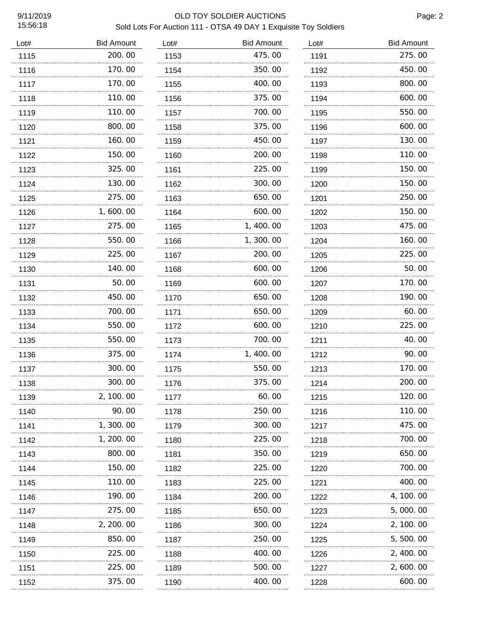### 9/11/2019 OLD TOY SOLDIER AUCTIONS Sold Lots For Auction 111 - OTSA 49 DAY 1 Exquisite Toy Soldiers

| Lot# | <b>Bid Amount</b> | Lot# | <b>Bid Amount</b> | Lot# | <b>Bid Amount</b> |
|------|-------------------|------|-------------------|------|-------------------|
| 1115 | 200.00            | 1153 | 475.00            | 1191 | 275.00            |
| 1116 | 170.00            | 1154 | 350.00            | 1192 | 450.00            |
| 1117 | 170.00            | 1155 | 400.00            | 1193 | 800.00            |
| 1118 | 110.00            | 1156 | 375.00            | 1194 | 600.00            |
| 1119 | 110.00            | 1157 | 700.00            | 1195 | 550.00            |
| 1120 | 800.00            | 1158 | 375.00            | 1196 | 600.00            |
| 1121 | 160.00            | 1159 | 450.00            | 1197 | 130.00            |
| 1122 | 150.00            | 1160 | 200.00            | 1198 | 110.00            |
| 1123 | 325.00            | 1161 | 225.00            | 1199 | 150.00            |
| 1124 | 130.00            | 1162 | 300.00            | 1200 | 150.00            |
| 1125 | 275.00            | 1163 | 650.00            | 1201 | 250.00            |
| 1126 | 1,600.00          | 1164 | 600.00            | 1202 | 150.00            |
| 1127 | 275.00            | 1165 | 1, 400.00         | 1203 | 475.00            |
| 1128 | 550.00            | 1166 | 1, 300. 00        | 1204 | 160.00            |
| 1129 | 225.00            | 1167 | 200.00            | 1205 | 225.00            |
| 1130 | 140.00            | 1168 | 600.00            | 1206 | 50.00             |
| 1131 | 50.00             | 1169 | 600.00            | 1207 | 170.00            |
| 1132 | 450.00            | 1170 | 650.00            | 1208 | 190.00            |
| 1133 | 700.00            | 1171 | 650.00            | 1209 | 60.00             |
| 1134 | 550.00            | 1172 | 600.00            | 1210 | 225.00            |
| 1135 | 550.00            | 1173 | 700.00            | 1211 | 40.00             |
| 1136 | 375.00            | 1174 | 1,400.00          | 1212 | 90.00             |
| 1137 | 300.00            | 1175 | 550.00            | 1213 | 170.00            |
| 1138 | 300.00            | 1176 | 375.00            | 1214 | 200.00            |
| 1139 | 2, 100.00         | 1177 | 60.00             | 1215 | 120.00            |
| 1140 | 90.00             | 1178 | 250.00            | 1216 | 110.00            |
| 1141 | 1, 300. 00        | 1179 | 300.00            | 1217 | 475.00            |
| 1142 | 1, 200. 00        | 1180 | 225.00            | 1218 | 700. 00           |
| 1143 | 800.00            | 1181 | 350. 00           | 1219 | 650.00            |
| 1144 | 150. 00           | 1182 | 225.00            | 1220 | 700.00            |
| 1145 | 110. 00           | 1183 | 225.00            | 1221 | 400.00            |
| 1146 | 190. 00           | 1184 | 200.00            | 1222 | 4, 100. 00        |
| 1147 | 275.00            | 1185 | 650.00            | 1223 | 5,000.00          |
| 1148 | 2, 200. 00        | 1186 | 300.00            | 1224 | 2, 100. 00        |
| 1149 | 850.00            | 1187 | 250.00            | 1225 | 5, 500. 00        |
| 1150 | 225.00            | 1188 | 400.00            | 1226 | 2, 400. 00        |
| 1151 | 225.00            | 1189 | 500.00            | 1227 | 2, 600. 00        |
| 1152 | 375.00            | 1190 | 400.00            | 1228 | 600.00            |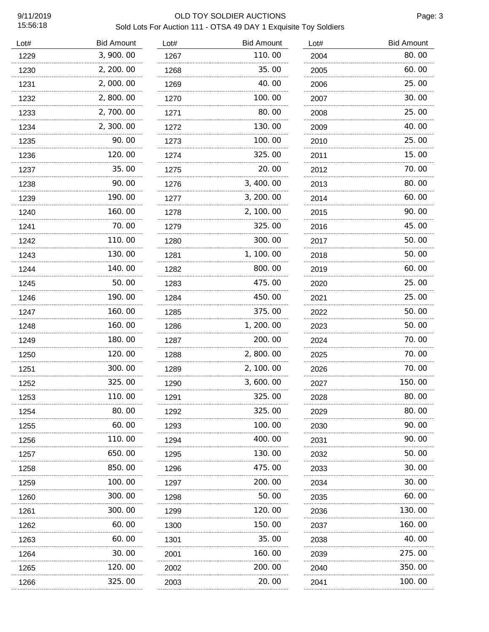# 9/11/2019 OLD TOY SOLDIER AUCTIONS

Page: 3

## Sold Lots For Auction 111 - OTSA 49 DAY 1 Exquisite Toy Soldiers

| Lot# | <b>Bid Amount</b> | Lot# | <b>Bid Amount</b> | Lot# | <b>Bid Amount</b> |
|------|-------------------|------|-------------------|------|-------------------|
| 1229 | 3, 900. 00        | 1267 | 110.00            | 2004 | 80.00             |
| 1230 | 2, 200. 00        | 1268 | 35.00             | 2005 | 60.00             |
| 1231 | 2,000.00          | 1269 | 40.00             | 2006 | 25.00             |
| 1232 | 2,800.00          | 1270 | 100.00            | 2007 | 30.00             |
| 1233 | 2,700.00          | 1271 | 80.00             | 2008 | 25.00             |
| 1234 | 2, 300.00         | 1272 | 130.00            | 2009 | 40.00             |
| 1235 | 90.00             | 1273 | 100.00            | 2010 | 25.00             |
| 1236 | 120.00            | 1274 | 325.00            | 2011 | 15.00             |
| 1237 | 35.00             | 1275 | 20.00             | 2012 | 70.00             |
| 1238 | 90.00             | 1276 | 3, 400.00         | 2013 | 80.00             |
| 1239 | 190.00            | 1277 | 3, 200.00         | 2014 | 60.00             |
| 1240 | 160.00            | 1278 | 2, 100.00         | 2015 | 90.00             |
| 1241 | 70.00             | 1279 | 325.00            | 2016 | 45.00             |
| 1242 | 110.00            | 1280 | 300.00            | 2017 | 50.00             |
| 1243 | 130.00            | 1281 | 1, 100.00         | 2018 | 50.00             |
| 1244 | 140.00            | 1282 | 800.00            | 2019 | 60.00             |
| 1245 | 50.00             | 1283 | 475.00            | 2020 | 25.00             |
| 1246 | 190.00            | 1284 | 450.00            | 2021 | 25.00             |
| 1247 | 160.00            | 1285 | 375.00            | 2022 | 50.00             |
| 1248 | 160.00            | 1286 | 1, 200.00         | 2023 | 50.00             |
| 1249 | 180.00            | 1287 | 200.00            | 2024 | 70.00             |
| 1250 | 120.00            | 1288 | 2,800.00          | 2025 | 70.00             |
| 1251 | 300.00            | 1289 | 2, 100.00         | 2026 | 70.00             |
| 1252 | 325.00            | 1290 | 3,600.00          | 2027 | 150.00            |
| 1253 | 110.00            | 1291 | 325.00            | 2028 | 80.00             |
| 1254 | 80.00             | 1292 | 325.00            | 2029 | 80. 00            |
| 1255 | 60.00             | 1293 | 100. 00           | 2030 | 90.00             |
| 1256 | 110.00            | 1294 | 400.00            | 2031 | 90.00             |
| 1257 | 650.00            | 1295 | 130. 00           | 2032 | 50. 00            |
| 1258 | 850.00            | 1296 | 475.00            | 2033 | 30. 00            |
| 1259 | 100.00            | 1297 | 200. 00           | 2034 | 30. 00            |
| 1260 | 300.00            | 1298 | 50.00             | 2035 | 60.00             |
| 1261 | 300.00            | 1299 | 120.00            | 2036 | 130. 00           |
| 1262 | 60.00             | 1300 | 150.00            | 2037 | 160. 00           |
| 1263 | 60.00             | 1301 | 35.00             | 2038 | 40.00             |
| 1264 | 30.00<br>.        | 2001 | 160.00            | 2039 | 275.00            |
| 1265 | 120.00            | 2002 | 200.00            | 2040 | 350.00            |
| 1266 | 325.00            | 2003 | 20.00             | 2041 | 100.00            |
|      |                   |      |                   |      |                   |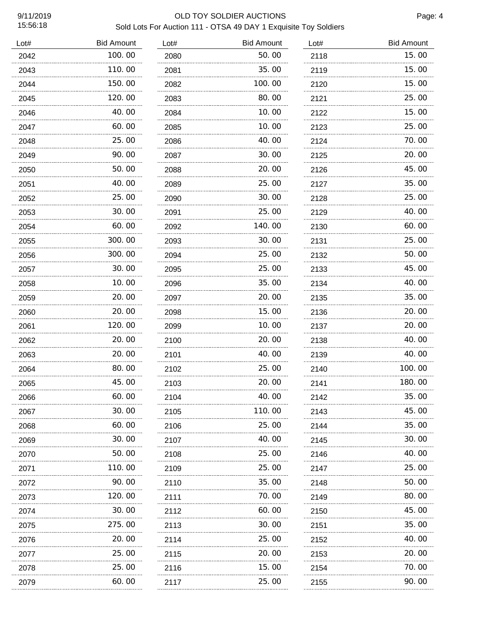#### 9/11/2019 OLD TOY SOLDIER AUCTIONS Sold Lots For Auction 111 - OTSA 49 DAY 1 Exquisite Toy Soldiers

| Lot# | <b>Bid Amount</b> | Lot# | <b>Bid Amount</b> | Lot# | <b>Bid Amount</b> |
|------|-------------------|------|-------------------|------|-------------------|
| 2042 | 100.00            | 2080 | 50.00             | 2118 | 15.00             |
| 2043 | 110.00            | 2081 | 35.00             | 2119 | 15.00             |
| 2044 | 150.00            | 2082 | 100.00            | 2120 | 15.00             |
| 2045 | 120.00            | 2083 | 80.00             | 2121 | 25.00             |
| 2046 | 40.00             | 2084 | 10. 00            | 2122 | 15.00             |
| 2047 | 60.00             | 2085 | 10.00             | 2123 | 25.00             |
| 2048 | 25.00             | 2086 | 40.00             | 2124 | 70.00             |
| 2049 | 90.00             | 2087 | 30.00             | 2125 | 20.00             |
| 2050 | 50.00             | 2088 | 20.00             | 2126 | 45.00             |
| 2051 | 40.00             | 2089 | 25.00             | 2127 | 35.00             |
| 2052 | 25,00             | 2090 | 30.00             | 2128 | 25.00             |
| 2053 | 30.00             | 2091 | 25.00             | 2129 | 40.00             |
| 2054 | 60.00             | 2092 | 140.00            | 2130 | 60.00             |
| 2055 | 300.00            | 2093 | 30.00             | 2131 | 25.00             |
| 2056 | 300.00            | 2094 | 25.00             | 2132 | 50.00             |
| 2057 | 30.00             | 2095 | 25.00             | 2133 | 45.00             |
| 2058 | 10.00             | 2096 | 35.00             | 2134 | 40.00             |
| 2059 | 20.00             | 2097 | 20.00             | 2135 | 35.00             |
| 2060 | 20.00             | 2098 | 15.00             | 2136 | 20.00             |
| 2061 | 120.00            | 2099 | 10.00             | 2137 | 20.00             |
| 2062 | 20.00             | 2100 | 20.00             | 2138 | 40.00             |
| 2063 | 20.00             | 2101 | 40.00             | 2139 | 40.00             |
| 2064 | 80.00             | 2102 | 25.00             | 2140 | 100.00            |
| 2065 | 45.00             | 2103 | 20.00             | 2141 | 180.00            |
| 2066 | 60.00             | 2104 | 40.00             | 2142 | 35.00             |
| 2067 | 30. 00            | 2105 | 110.00            | 2143 | 45.00             |
| 2068 | 60.00             | 2106 | 25.00             | 2144 | 35.00             |
| 2069 | 30.00             | 2107 | 40.00             | 2145 | 30. 00            |
| 2070 | 50.00             | 2108 | 25.00             | 2146 | 40.00             |
| 2071 | 110. 00           | 2109 | 25.00             | 2147 | 25.00             |
| 2072 | 90.00             | 2110 | 35.00             | 2148 | 50.00             |
| 2073 | 120.00            | 2111 | 70.00             | 2149 | 80.00             |
| 2074 | 30.00             | 2112 | 60.00             | 2150 | 45.00             |
| 2075 | 275.00            | 2113 | 30.00             | 2151 | 35.00             |
| 2076 | 20.00             | 2114 | 25.00             | 2152 | 40.00             |
| 2077 | 25.00<br>         | 2115 | 20.00<br>.        | 2153 | 20.00             |
| 2078 | 25.00             | 2116 | 15.00             | 2154 | 70.00             |
| 2079 | 60.00             | 2117 | 25.00             | 2155 | 90.00             |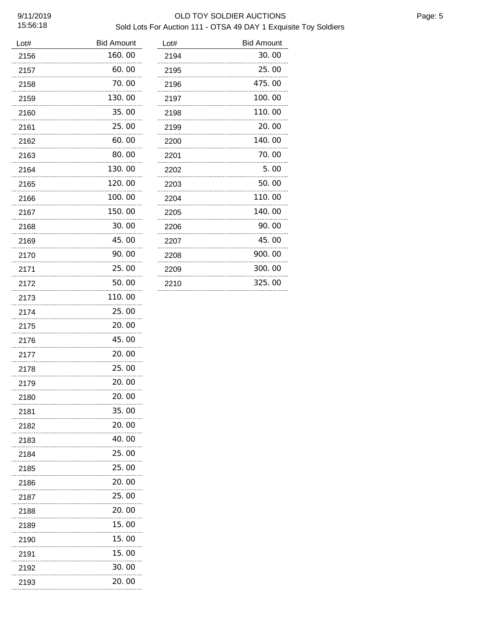### 9/11/2019 OLD TOY SOLDIER AUCTIONS Sold Lots For Auction 111 - OTSA 49 DAY 1 Exquisite Toy Soldiers

| Lot# | <b>Bid Amount</b> | Lot# |
|------|-------------------|------|
| 2156 | 160.00            | 2194 |
| 2157 | 60.00             | 2195 |
| 2158 | 70.00             | 2196 |
| 2159 | 130.00            | 2197 |
| 2160 | 35.00             | 2198 |
| 2161 | 25.00             | 2199 |
| 2162 | 60.00             | 2200 |
| 2163 | 80.00             | 2201 |
| 2164 | 130.00            | 2202 |
| 2165 | 120.00            | 2203 |
| 2166 | 100.00            | 2204 |
| 2167 | 150.00            | 2205 |
| 2168 | 30. 00            | 2206 |
| 2169 | 45.00             | 2207 |
| 2170 | 90.00             | 2208 |
| 2171 | 25.00             | 2209 |
| 2172 | 50.00             | 2210 |
| 2173 | 110.00            |      |
| 2174 | 25.00             |      |
| 2175 | 20.00             |      |
| 2176 | 45.00             |      |
| 2177 | 20.00             |      |
| 2178 | 25.00             |      |
| 2179 | 20.00             |      |
| 2180 | 20.00             |      |
| 2181 | 35.00             |      |
| 2182 | 20.00             |      |
| 2183 | 40.00             |      |
| 2184 | 25.00<br>.        |      |
| 2185 | 25.00             |      |
| 2186 | 20.00             |      |
| 2187 | 25.00             |      |
| 2188 | 20.00             |      |
| 2189 | 15.00             |      |
| 2190 | 15.00             |      |
| 2191 | 15.00             |      |
| 2192 | 30.00             |      |
| 2193 | 20.00             |      |
|      |                   |      |

| Lot# | <b>Bid Amount</b> |
|------|-------------------|
| 2194 | 30.00             |
| 2195 | 25.00             |
| 2196 | 475.00            |
| 2197 | 100.00            |
| 2198 | 110.00            |
| 2199 | 20.00             |
| 2200 | 140.00            |
| 2201 | 70.00             |
| 2202 | 5.00              |
| 2203 | 50.00             |
| 2204 | 110.00            |
| 2205 | 140.00            |
| 2206 | 90.00             |
| 2207 | 45.00             |
| 2208 | 900.00            |
| 2209 | 300.00            |
| 2210 | 325.00            |
|      |                   |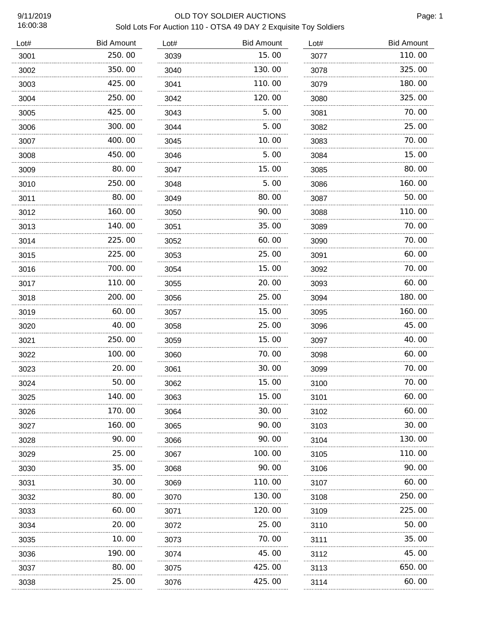#### 9/11/2019 OLD TOY SOLDIER AUCTIONS Sold Lots For Auction 110 - OTSA 49 DAY 2 Exquisite Toy Soldiers

| Lot# | <b>Bid Amount</b> | Lot# | <b>Bid Amount</b> | Lot# | <b>Bid Amount</b> |
|------|-------------------|------|-------------------|------|-------------------|
| 3001 | 250.00            | 3039 | 15.00             | 3077 | 110.00            |
| 3002 | 350.00            | 3040 | 130.00            | 3078 | 325.00            |
| 3003 | 425.00            | 3041 | 110.00            | 3079 | 180.00            |
| 3004 | 250.00            | 3042 | 120.00            | 3080 | 325.00            |
| 3005 | 425.00            | 3043 | 5.00              | 3081 | 70.00             |
| 3006 | 300.00            | 3044 | 5.00              | 3082 | 25.00             |
| 3007 | 400.00            | 3045 | 10.00             | 3083 | 70.00             |
| 3008 | 450.00            | 3046 | 5.00              | 3084 | 15.00             |
| 3009 | 80.00             | 3047 | 15.00             | 3085 | 80.00             |
| 3010 | 250.00            | 3048 | 5.00              | 3086 | 160.00            |
| 3011 | 80.00             | 3049 | 80.00             | 3087 | 50.00             |
| 3012 | 160.00            | 3050 | 90.00             | 3088 | 110.00            |
| 3013 | 140.00            | 3051 | 35.00             | 3089 | 70.00             |
| 3014 | 225.00            | 3052 | 60.00             | 3090 | 70.00             |
| 3015 | 225.00            | 3053 | 25.00             | 3091 | 60.00             |
| 3016 | 700.00            | 3054 | 15.00             | 3092 | 70.00             |
| 3017 | 110.00            | 3055 | 20.00             | 3093 | 60.00             |
| 3018 | 200.00            | 3056 | 25.00             | 3094 | 180.00            |
| 3019 | 60.00             | 3057 | 15.00             | 3095 | 160.00            |
| 3020 | 40.00             | 3058 | 25.00             | 3096 | 45.00             |
| 3021 | 250.00            | 3059 | 15.00             | 3097 | 40.00             |
| 3022 | 100.00            | 3060 | 70.00             | 3098 | 60.00             |
| 3023 | 20.00             | 3061 | 30.00             | 3099 | 70.00             |
| 3024 | 50.00             | 3062 | 15.00             | 3100 | 70.00             |
| 3025 | 140.00            | 3063 | 15.00             | 3101 | 60.00             |
| 3026 | 170.00            | 3064 | 30.00             | 3102 | 60.00             |
| 3027 | 160. 00<br>.      | 3065 | 90.00             | 3103 | 30.00             |
| 3028 | 90.00             | 3066 | 90.00             | 3104 | 130.00            |
| 3029 | 25.00<br>.        | 3067 | 100. 00           | 3105 | 110.00            |
| 3030 | 35.00             | 3068 | 90.00             | 3106 | 90.00             |
| 3031 | 30.00             | 3069 | 110. 00           | 3107 | 60. 00            |
| 3032 | 80.00             | 3070 | 130.00            | 3108 | 250.00            |
| 3033 | 60.00             | 3071 | 120.00            | 3109 | 225.00            |
| 3034 | 20.00             | 3072 | 25.00             | 3110 | 50.00             |
| 3035 | 10.00             | 3073 | 70.00             | 3111 | 35.00             |
| 3036 | 190.00            | 3074 | 45.00             | 3112 | 45.00             |
| 3037 | 80.00             | 3075 | 425.00            | 3113 | 650.00            |
| 3038 | 25.00             | 3076 | 425.00            | 3114 | 60.00             |
|      |                   |      |                   |      |                   |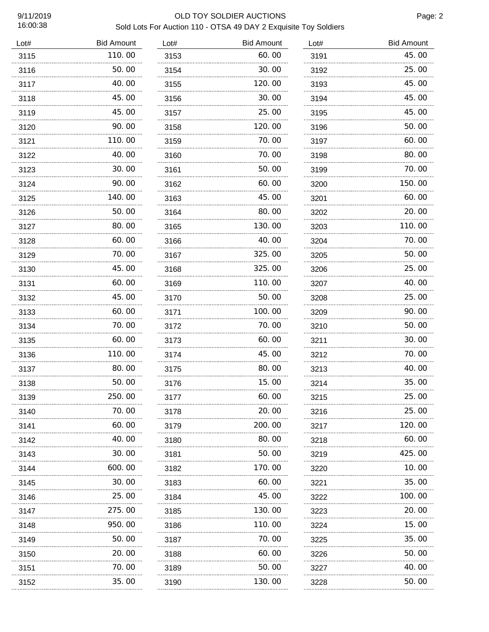#### 9/11/2019 OLD TOY SOLDIER AUCTIONS Sold Lots For Auction 110 - OTSA 49 DAY 2 Exquisite Toy Soldiers

| Lot# | <b>Bid Amount</b> | Lot# | <b>Bid Amount</b> | Lot# | <b>Bid Amount</b> |
|------|-------------------|------|-------------------|------|-------------------|
| 3115 | 110.00            | 3153 | 60.00             | 3191 | 45.00             |
| 3116 | 50.00             | 3154 | 30.00             | 3192 | 25.00             |
| 3117 | 40.00             | 3155 | 120.00            | 3193 | 45.00             |
| 3118 | 45.00             | 3156 | 30.00             | 3194 | 45.00             |
| 3119 | 45.00             | 3157 | 25.00             | 3195 | 45.00             |
| 3120 | 90. 00            | 3158 | 120.00            | 3196 | 50.00             |
| 3121 | 110.00            | 3159 | 70.00             | 3197 | 60.00             |
| 3122 | 40.00             | 3160 | 70.00             | 3198 | 80.00             |
| 3123 | 30.00             | 3161 | 50.00             | 3199 | 70.00             |
| 3124 | 90. 00            | 3162 | 60.00             | 3200 | 150.00            |
| 3125 | 140. 00           | 3163 | 45.00             | 3201 | 60.00             |
| 3126 | 50. 00            | 3164 | 80.00             | 3202 | 20.00             |
| 3127 | 80.00             | 3165 | 130. 00           | 3203 | 110.00            |
| 3128 | 60.00             | 3166 | 40.00             | 3204 | 70.00             |
| 3129 | 70.00             | 3167 | 325.00            | 3205 | 50.00             |
| 3130 | 45.00             | 3168 | 325.00            | 3206 | 25.00             |
| 3131 | 60.00             | 3169 | 110.00            | 3207 | 40.00             |
| 3132 | 45.00             | 3170 | 50.00             | 3208 | 25.00             |
| 3133 | 60.00             | 3171 | 100.00            | 3209 | 90.00             |
| 3134 | 70.00             | 3172 | 70.00             | 3210 | 50.00             |
| 3135 | 60.00             | 3173 | 60.00             | 3211 | 30.00             |
| 3136 | 110.00            | 3174 | 45.00             | 3212 | 70.00             |
| 3137 | 80.00             | 3175 | 80.00             | 3213 | 40.00             |
| 3138 | 50.00             | 3176 | 15.00             | 3214 | 35.00             |
| 3139 | 250.00            | 3177 | 60.00             | 3215 | 25.00             |
| 3140 | 70.00             | 3178 | 20.00             | 3216 | 25.00             |
| 3141 | 60.00             | 3179 | 200.00            | 3217 | 120.00            |
| 3142 | 40.00             | 3180 | 80.00             | 3218 | 60.00             |
| 3143 | 30.00             | 3181 | 50.00             | 3219 | 425.00            |
| 3144 | 600.00            | 3182 | 170.00            | 3220 | 10.00             |
| 3145 | 30.00             | 3183 | 60.00             | 3221 | 35.00             |
| 3146 | 25.00             | 3184 | 45.00             | 3222 | 100.00            |
| 3147 | 275.00            | 3185 | 130.00            | 3223 | 20.00             |
| 3148 | 950.00            | 3186 | 110.00            | 3224 | 15.00             |
| 3149 | 50.00             | 3187 | 70.00             | 3225 | 35.00             |
| 3150 | 20.00             | 3188 | 60.00             | 3226 | 50.00             |
| 3151 | 70.00             | 3189 | 50.00             | 3227 | 40.00             |
| 3152 | 35.00             | 3190 | 130.00            | 3228 | 50.00             |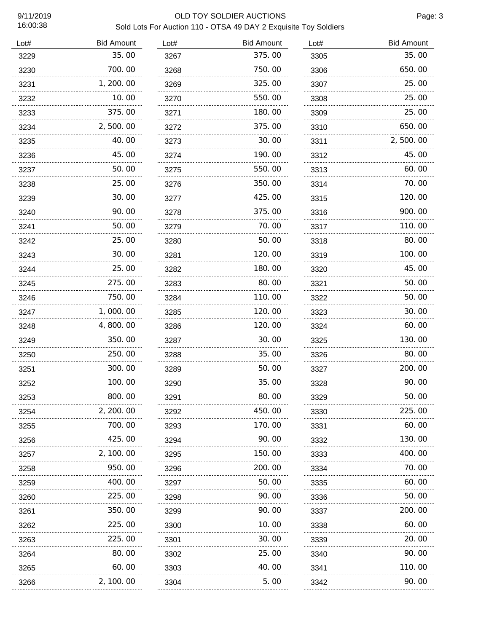# 9/11/2019 OLD TOY SOLDIER AUCTIONS

Page: 3

### Sold Lots For Auction 110 - OTSA 49 DAY 2 Exquisite Toy Soldiers

| Lot# | <b>Bid Amount</b> | Lot# | <b>Bid Amount</b> | Lot# | <b>Bid Amount</b> |
|------|-------------------|------|-------------------|------|-------------------|
| 3229 | 35.00             | 3267 | 375.00            | 3305 | 35.00             |
| 3230 | 700.00            | 3268 | 750.00            | 3306 | 650.00            |
| 3231 | 1, 200. 00        | 3269 | 325.00            | 3307 | 25.00             |
| 3232 | 10.00             | 3270 | 550.00            | 3308 | 25.00             |
| 3233 | 375.00            | 3271 | 180.00            | 3309 | 25.00             |
| 3234 | 2,500.00          | 3272 | 375.00            | 3310 | 650.00            |
| 3235 | 40.00             | 3273 | 30.00             | 3311 | 2,500.00          |
| 3236 | 45.00             | 3274 | 190.00            | 3312 | 45.00             |
| 3237 | 50.00             | 3275 | 550.00            | 3313 | 60.00             |
| 3238 | 25.00             | 3276 | 350.00            | 3314 | 70.00             |
| 3239 | 30.00             | 3277 | 425.00            | 3315 | 120.00            |
| 3240 | 90.00             | 3278 | 375.00            | 3316 | 900.00            |
| 3241 | 50.00             | 3279 | 70.00             | 3317 | 110.00            |
| 3242 | 25.00             | 3280 | 50.00             | 3318 | 80.00             |
| 3243 | 30.00             | 3281 | 120.00            | 3319 | 100.00            |
| 3244 | 25.00<br>.        | 3282 | 180.00            | 3320 | 45.00             |
| 3245 | 275.00            | 3283 | 80.00             | 3321 | 50.00             |
| 3246 | 750.00            | 3284 | 110.00            | 3322 | 50.00             |
| 3247 | 1,000.00          | 3285 | 120.00            | 3323 | 30.00             |
| 3248 | 4,800.00          | 3286 | 120.00            | 3324 | 60.00             |
| 3249 | 350.00            | 3287 | 30.00             | 3325 | 130.00            |
| 3250 | 250.00            | 3288 | 35.00             | 3326 | 80.00             |
| 3251 | 300.00            | 3289 | 50.00             | 3327 | 200.00            |
| 3252 | 100.00            | 3290 | 35.00             | 3328 | 90.00             |
| 3253 | 800.00            | 3291 | 80.00             | 3329 | 50.00             |
| 3254 | 2, 200. 00        | 3292 | 450.00            | 3330 | 225.00            |
| 3255 | 700.00            | 3293 | 170.00            | 3331 | 60.00             |
| 3256 | 425.00            | 3294 | 90.00             | 3332 | 130.00            |
| 3257 | 2, 100, 00        | 3295 | 150.00            | 3333 | 400.00            |
| 3258 | 950.00            | 3296 | 200.00            | 3334 | 70.00             |
| 3259 | 400.00            | 3297 | 50.00             | 3335 | 60.00             |
| 3260 | 225.00            | 3298 | 90.00             | 3336 | 50.00             |
| 3261 | 350.00            | 3299 | 90.00             | 3337 | 200.00            |
| 3262 | 225.00            | 3300 | 10.00             | 3338 | 60.00             |
| 3263 | 225.00            | 3301 | 30.00             | 3339 | 20.00             |
| 3264 | 80.00             | 3302 | 25.00             | 3340 | 90.00             |
| 3265 | 60.00             | 3303 | 40.00             | 3341 | 110. 00           |
| 3266 | 2, 100. 00        | 3304 | 5. OO             | 3342 | 90.00             |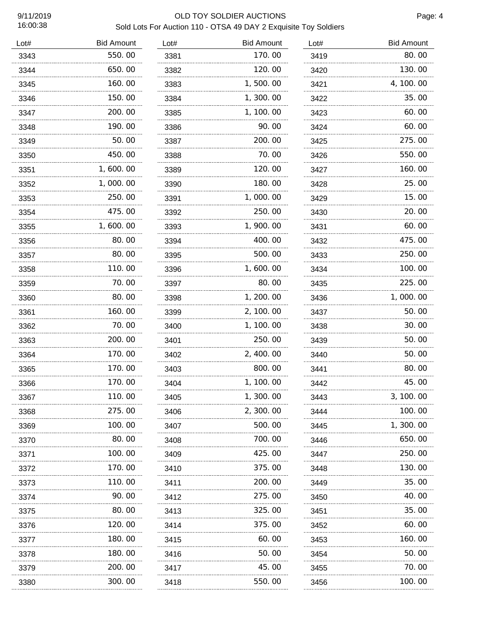### 9/11/2019 OLD TOY SOLDIER AUCTIONS Sold Lots For Auction 110 - OTSA 49 DAY 2 Exquisite Toy Soldiers

| Lot# | <b>Bid Amount</b> | Lot# | <b>Bid Amount</b> | Lot# | <b>Bid Amount</b> |
|------|-------------------|------|-------------------|------|-------------------|
| 3343 | 550.00            | 3381 | 170.00            | 3419 | 80.00             |
| 3344 | 650.00            | 3382 | 120.00            | 3420 | 130.00            |
| 3345 | 160. 00           | 3383 | 1,500.00          | 3421 | 4, 100. 00        |
| 3346 | 150.00            | 3384 | 1,300.00          | 3422 | 35.00             |
| 3347 | 200.00            | 3385 | 1, 100. 00        | 3423 | 60.00             |
| 3348 | 190.00            | 3386 | 90.00             | 3424 | 60.00             |
| 3349 | 50.00             | 3387 | 200.00            | 3425 | 275.00            |
| 3350 | 450.00            | 3388 | 70.00             | 3426 | 550.00            |
| 3351 | 1, 600. 00        | 3389 | 120.00            | 3427 | 160.00            |
| 3352 | 1,000.00          | 3390 | 180.00            | 3428 | 25.00             |
| 3353 | 250.00            | 3391 | 1,000.00          | 3429 | 15.00             |
| 3354 | 475.00            | 3392 | 250.00            | 3430 | 20.00             |
| 3355 | 1,600.00          | 3393 | 1,900.00          | 3431 | 60.00             |
| 3356 | 80.00             | 3394 | 400.00            | 3432 | 475.00            |
| 3357 | 80.00             | 3395 | 500.00            | 3433 | 250.00            |
| 3358 | 110.00            | 3396 | 1,600.00          | 3434 | 100.00            |
| 3359 | 70.00             | 3397 | 80.00             | 3435 | 225.00            |
| 3360 | 80.00             | 3398 | 1, 200.00         | 3436 | 1,000.00          |
| 3361 | 160.00            | 3399 | 2, 100.00         | 3437 | 50.00             |
| 3362 | 70.00             | 3400 | 1, 100. 00        | 3438 | 30.00             |
| 3363 | 200.00            | 3401 | 250.00            | 3439 | 50.00             |
| 3364 | 170.00            | 3402 | 2, 400.00         | 3440 | 50.00             |
| 3365 | 170.00            | 3403 | 800.00            | 3441 | 80.00             |
| 3366 | 170.00            | 3404 | 1, 100. 00        | 3442 | 45.00             |
| 3367 | 110.00            | 3405 | 1, 300. 00        | 3443 | 3, 100.00         |
| 3368 | 275.00            | 3406 | 2, 300. 00        | 3444 | 100.00            |
| 3369 | 100. 00           | 3407 | 500.00            | 3445 | 1, 300. 00        |
| 3370 | 80.00             | 3408 | 700.00            | 3446 | 650.00            |
| 3371 | 100. 00           | 3409 | 425.00            | 3447 | 250. 00           |
| 3372 | 170. 00           | 3410 | 375.00            | 3448 | 130. 00           |
| 3373 | 110. 00           | 3411 | 200.00            | 3449 | 35.00             |
| 3374 | 90.00             | 3412 | 275.00            | 3450 | 40.00             |
| 3375 | 80.00             | 3413 | 325.00            | 3451 | 35.00             |
| 3376 | 120.00            | 3414 | 375.00            | 3452 | 60.00             |
| 3377 | 180.00            | 3415 | 60.00             | 3453 | 160.00            |
| 3378 | 180.00            | 3416 | 50.00             | 3454 | 50.00             |
| 3379 | 200.00            | 3417 | 45.00             | 3455 | 70.00             |
| 3380 | .<br>300.00       | 3418 | .<br>550.00       | 3456 | 100.00            |
|      |                   |      |                   |      |                   |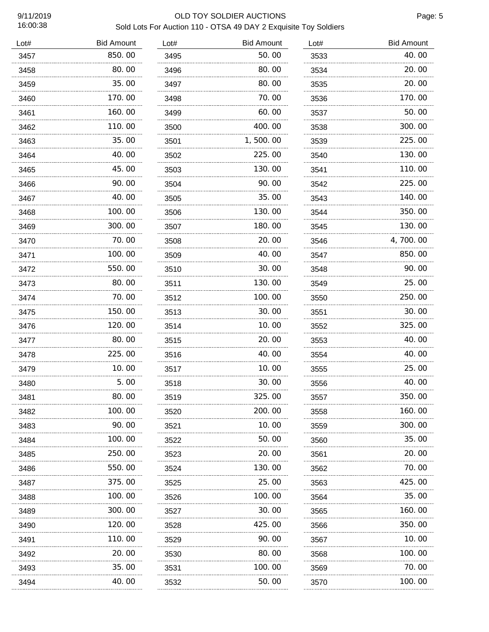## 9/11/2019 OLD TOY SOLDIER AUCTIONS

Page: 5

## Sold Lots For Auction 110 - OTSA 49 DAY 2 Exquisite Toy Soldiers

| Lot# | <b>Bid Amount</b> | Lot# | <b>Bid Amount</b> | Lot# | <b>Bid Amount</b> |
|------|-------------------|------|-------------------|------|-------------------|
| 3457 | 850.00            | 3495 | 50.00             | 3533 | 40.00             |
| 3458 | 80.00             | 3496 | 80.00             | 3534 | 20.00             |
| 3459 | 35.00             | 3497 | 80.00             | 3535 | 20.00             |
| 3460 | 170.00            | 3498 | 70.00             | 3536 | 170.00            |
| 3461 | 160.00            | 3499 | 60.00             | 3537 | 50.00             |
| 3462 | 110.00            | 3500 | 400.00            | 3538 | 300.00            |
| 3463 | 35.00             | 3501 | 1,500.00          | 3539 | 225.00            |
| 3464 | 40.00<br>.        | 3502 | 225.00            | 3540 | 130.00            |
| 3465 | 45.00             | 3503 | 130.00            | 3541 | 110.00            |
| 3466 | 90.00             | 3504 | 90.00             | 3542 | 225.00            |
| 3467 | 40.00             | 3505 | 35.00             | 3543 | 140.00            |
| 3468 | 100.00<br>.       | 3506 | 130.00            | 3544 | 350.00            |
| 3469 | 300.00            | 3507 | 180.00            | 3545 | 130.00            |
| 3470 | 70.00             | 3508 | 20.00             | 3546 | 4,700.00          |
| 3471 | 100.00            | 3509 | 40.00             | 3547 | 850.00            |
| 3472 | 550.00            | 3510 | 30.00             | 3548 | 90.00             |
| 3473 | 80.00             | 3511 | 130.00            | 3549 | 25.00             |
| 3474 | 70.00             | 3512 | 100.00            | 3550 | 250.00            |
| 3475 | 150.00            | 3513 | 30.00             | 3551 | 30.00             |
| 3476 | 120.00            | 3514 | 10.00             | 3552 | 325.00            |
| 3477 | 80.00             | 3515 | 20.00             | 3553 | 40.00             |
| 3478 | 225.00            | 3516 | 40.00             | 3554 | 40.00             |
| 3479 | 10.00             | 3517 | 10.00             | 3555 | 25.00             |
| 3480 | 5.00              | 3518 | 30.00             | 3556 | 40.00             |
| 3481 | 80.00             | 3519 | 325.00            | 3557 | 350.00            |
| 3482 | 100.00            | 3520 | 200.00            | 3558 | 160.00            |
| 3483 | 90.00             | 3521 | 10.00             | 3559 | 300. 00           |
| 3484 | 100.00            | 3522 | 50.00             | 3560 | 35.00             |
| 3485 | 250.00            | 3523 | 20. 00            | 3561 | 20.00             |
| 3486 | 550.00            | 3524 | 130.00            | 3562 | 70.00             |
| 3487 | 375.00            | 3525 | 25.00             | 3563 | 425.00            |
| 3488 | 100.00            | 3526 | 100. 00           | 3564 | 35.00             |
| 3489 | 300.00            | 3527 | 30.00             | 3565 | 160.00            |
| 3490 | 120.00<br>.       | 3528 | 425.00            | 3566 | 350.00            |
| 3491 | 110.00            | 3529 | 90.00             | 3567 | 10.00             |
| 3492 | 20.00             | 3530 | 80.00             | 3568 | 100.00            |
| 3493 | 35.00             | 3531 | 100.00            | 3569 | 70.00             |
| 3494 | 40.00             | 3532 | 50.00             | 3570 | 100.00            |